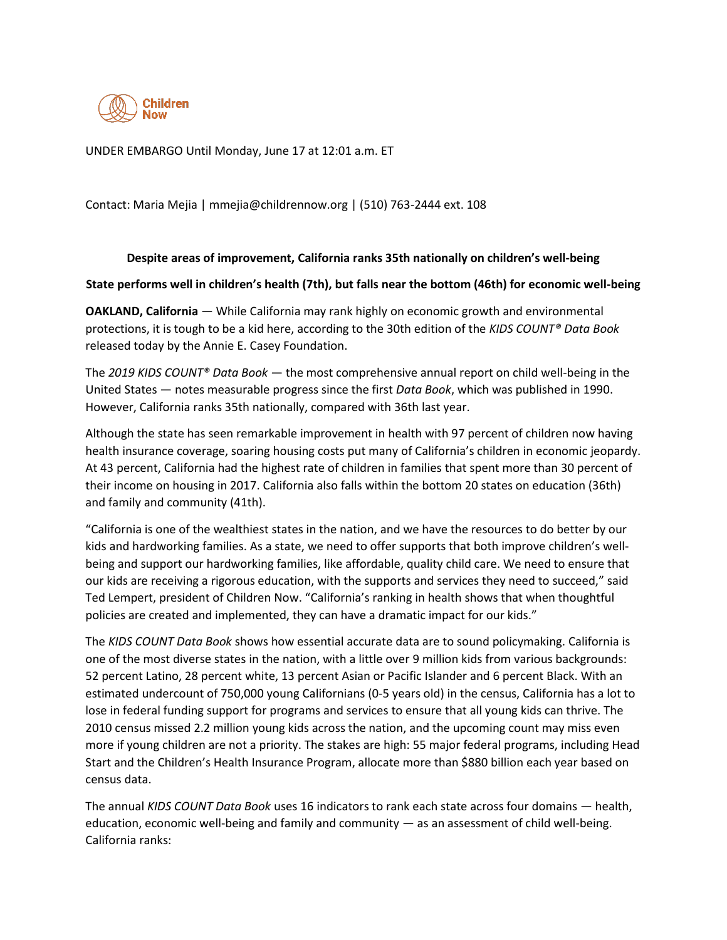

UNDER EMBARGO Until Monday, June 17 at 12:01 a.m. ET

Contact: Maria Mejia | mmejia@childrennow.org | (510) 763-2444 ext. 108

## **Despite areas of improvement, California ranks 35th nationally on children's well-being**

## **State performs well in children's health (7th), but falls near the bottom (46th) for economic well-being**

**OAKLAND, California** — While California may rank highly on economic growth and environmental protections, it is tough to be a kid here, according to the 30th edition of the *KIDS COUNT® Data Book* released today by the Annie E. Casey Foundation.

The *2019 KIDS COUNT® Data Book* — the most comprehensive annual report on child well-being in the United States — notes measurable progress since the first *Data Book*, which was published in 1990. However, California ranks 35th nationally, compared with 36th last year.

Although the state has seen remarkable improvement in health with 97 percent of children now having health insurance coverage, soaring housing costs put many of California's children in economic jeopardy. At 43 percent, California had the highest rate of children in families that spent more than 30 percent of their income on housing in 2017. California also falls within the bottom 20 states on education (36th) and family and community (41th).

"California is one of the wealthiest states in the nation, and we have the resources to do better by our kids and hardworking families. As a state, we need to offer supports that both improve children's wellbeing and support our hardworking families, like affordable, quality child care. We need to ensure that our kids are receiving a rigorous education, with the supports and services they need to succeed," said Ted Lempert, president of Children Now. "California's ranking in health shows that when thoughtful policies are created and implemented, they can have a dramatic impact for our kids."

The *KIDS COUNT Data Book* shows how essential accurate data are to sound policymaking. California is one of the most diverse states in the nation, with a little over 9 million kids from various backgrounds: 52 percent Latino, 28 percent white, 13 percent Asian or Pacific Islander and 6 percent Black. With an estimated undercount of 750,000 young Californians (0-5 years old) in the census, California has a lot to lose in federal funding support for programs and services to ensure that all young kids can thrive. The 2010 census missed 2.2 million young kids across the nation, and the upcoming count may miss even more if young children are not a priority. The stakes are high: 55 major federal programs, including Head Start and the Children's Health Insurance Program, allocate more than \$880 billion each year based on census data.

The annual *KIDS COUNT Data Book* uses 16 indicators to rank each state across four domains — health, education, economic well-being and family and community — as an assessment of child well-being. California ranks: